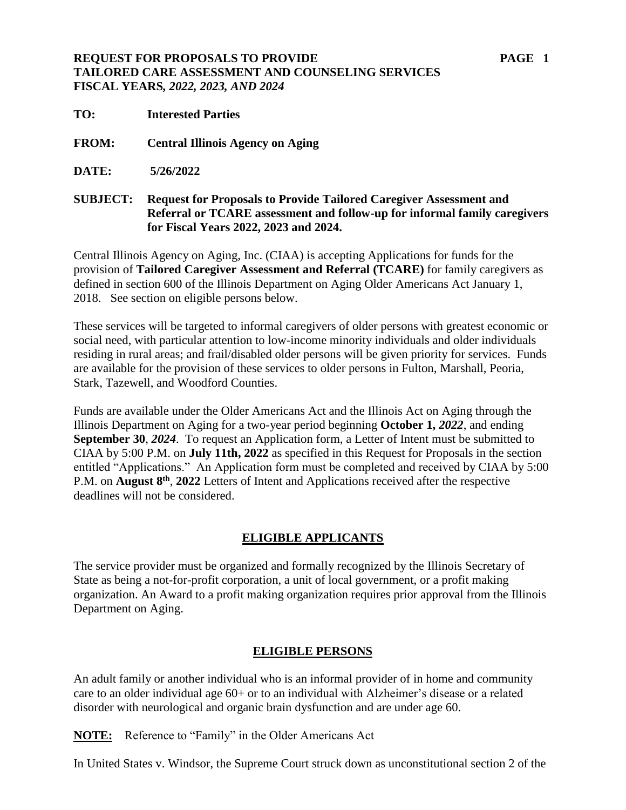## **REQUEST FOR PROPOSALS TO PROVIDE PAGE 1 TAILORED CARE ASSESSMENT AND COUNSELING SERVICES FISCAL YEARS***, 2022, 2023, AND 2024*

- **TO: Interested Parties**
- **FROM: Central Illinois Agency on Aging**
- **DATE: 5/26/2022**

**SUBJECT: Request for Proposals to Provide Tailored Caregiver Assessment and Referral or TCARE assessment and follow-up for informal family caregivers for Fiscal Years 2022, 2023 and 2024.** 

Central Illinois Agency on Aging, Inc. (CIAA) is accepting Applications for funds for the provision of **Tailored Caregiver Assessment and Referral (TCARE)** for family caregivers as defined in section 600 of the Illinois Department on Aging Older Americans Act January 1, 2018. See section on eligible persons below.

These services will be targeted to informal caregivers of older persons with greatest economic or social need, with particular attention to low-income minority individuals and older individuals residing in rural areas; and frail/disabled older persons will be given priority for services. Funds are available for the provision of these services to older persons in Fulton, Marshall, Peoria, Stark, Tazewell, and Woodford Counties.

Funds are available under the Older Americans Act and the Illinois Act on Aging through the Illinois Department on Aging for a two-year period beginning **October 1,** *2022*, and ending **September 30**, *2024*. To request an Application form, a Letter of Intent must be submitted to CIAA by 5:00 P.M. on **July 11th, 2022** as specified in this Request for Proposals in the section entitled "Applications." An Application form must be completed and received by CIAA by 5:00 P.M. on **August 8th** , **2022** Letters of Intent and Applications received after the respective deadlines will not be considered.

#### **ELIGIBLE APPLICANTS**

The service provider must be organized and formally recognized by the Illinois Secretary of State as being a not-for-profit corporation, a unit of local government, or a profit making organization. An Award to a profit making organization requires prior approval from the Illinois Department on Aging.

#### **ELIGIBLE PERSONS**

An adult family or another individual who is an informal provider of in home and community care to an older individual age 60+ or to an individual with Alzheimer's disease or a related disorder with neurological and organic brain dysfunction and are under age 60.

**NOTE:** Reference to "Family" in the Older Americans Act

In United States v. Windsor, the Supreme Court struck down as unconstitutional section 2 of the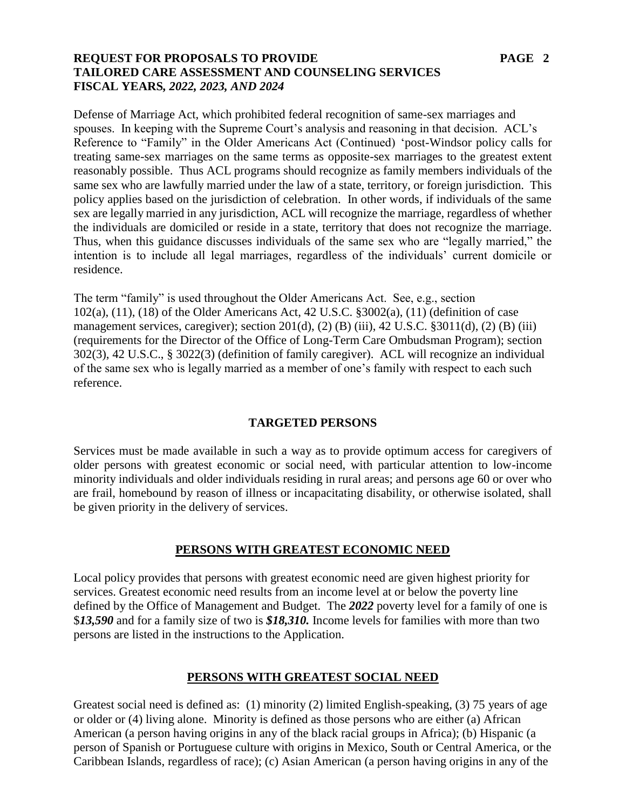### **REQUEST FOR PROPOSALS TO PROVIDE PAGE 2 TAILORED CARE ASSESSMENT AND COUNSELING SERVICES FISCAL YEARS***, 2022, 2023, AND 2024*

Defense of Marriage Act, which prohibited federal recognition of same-sex marriages and spouses. In keeping with the Supreme Court's analysis and reasoning in that decision. ACL's Reference to "Family" in the Older Americans Act (Continued) 'post-Windsor policy calls for treating same-sex marriages on the same terms as opposite-sex marriages to the greatest extent reasonably possible. Thus ACL programs should recognize as family members individuals of the same sex who are lawfully married under the law of a state, territory, or foreign jurisdiction. This policy applies based on the jurisdiction of celebration. In other words, if individuals of the same sex are legally married in any jurisdiction, ACL will recognize the marriage, regardless of whether the individuals are domiciled or reside in a state, territory that does not recognize the marriage. Thus, when this guidance discusses individuals of the same sex who are "legally married," the intention is to include all legal marriages, regardless of the individuals' current domicile or residence.

The term "family" is used throughout the Older Americans Act. See, e.g., section 102(a), (11), (18) of the Older Americans Act, 42 U.S.C. §3002(a), (11) (definition of case management services, caregiver); section  $201(d)$ ,  $(2)$   $(B)$   $(iii)$ ,  $42$  U.S.C. §3011 $(d)$ ,  $(2)$   $(B)$   $(iii)$ (requirements for the Director of the Office of Long-Term Care Ombudsman Program); section 302(3), 42 U.S.C., § 3022(3) (definition of family caregiver). ACL will recognize an individual of the same sex who is legally married as a member of one's family with respect to each such reference.

#### **TARGETED PERSONS**

Services must be made available in such a way as to provide optimum access for caregivers of older persons with greatest economic or social need, with particular attention to low-income minority individuals and older individuals residing in rural areas; and persons age 60 or over who are frail, homebound by reason of illness or incapacitating disability, or otherwise isolated, shall be given priority in the delivery of services.

#### **PERSONS WITH GREATEST ECONOMIC NEED**

Local policy provides that persons with greatest economic need are given highest priority for services. Greatest economic need results from an income level at or below the poverty line defined by the Office of Management and Budget. The *2022* poverty level for a family of one is \$*13,590* and for a family size of two is *\$18,310.* Income levels for families with more than two persons are listed in the instructions to the Application.

#### **PERSONS WITH GREATEST SOCIAL NEED**

Greatest social need is defined as: (1) minority (2) limited English-speaking, (3) 75 years of age or older or (4) living alone. Minority is defined as those persons who are either (a) African American (a person having origins in any of the black racial groups in Africa); (b) Hispanic (a person of Spanish or Portuguese culture with origins in Mexico, South or Central America, or the Caribbean Islands, regardless of race); (c) Asian American (a person having origins in any of the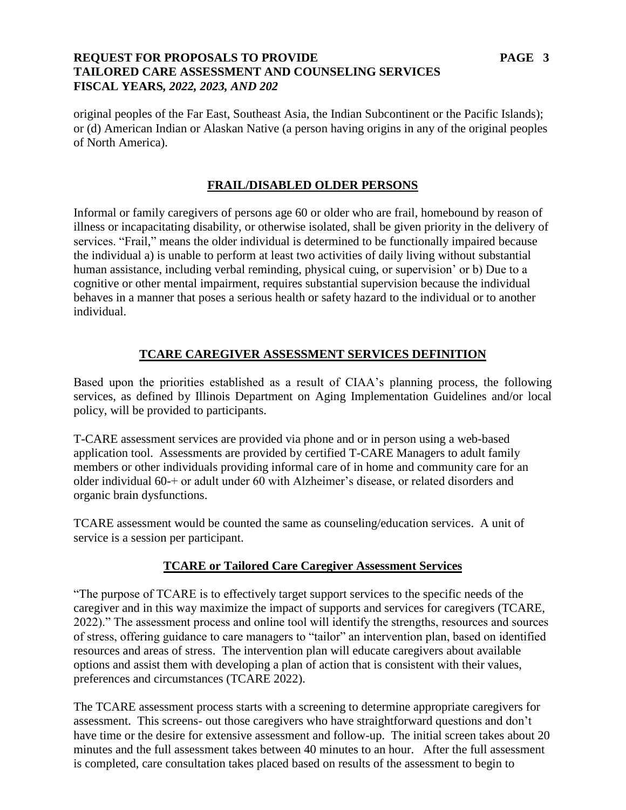## **REQUEST FOR PROPOSALS TO PROVIDE PAGE 3 TAILORED CARE ASSESSMENT AND COUNSELING SERVICES FISCAL YEARS***, 2022, 2023, AND 202*

original peoples of the Far East, Southeast Asia, the Indian Subcontinent or the Pacific Islands); or (d) American Indian or Alaskan Native (a person having origins in any of the original peoples of North America).

#### **FRAIL/DISABLED OLDER PERSONS**

Informal or family caregivers of persons age 60 or older who are frail, homebound by reason of illness or incapacitating disability, or otherwise isolated, shall be given priority in the delivery of services. "Frail," means the older individual is determined to be functionally impaired because the individual a) is unable to perform at least two activities of daily living without substantial human assistance, including verbal reminding, physical cuing, or supervision' or b) Due to a cognitive or other mental impairment, requires substantial supervision because the individual behaves in a manner that poses a serious health or safety hazard to the individual or to another individual.

# **TCARE CAREGIVER ASSESSMENT SERVICES DEFINITION**

Based upon the priorities established as a result of CIAA's planning process, the following services, as defined by Illinois Department on Aging Implementation Guidelines and/or local policy, will be provided to participants.

T-CARE assessment services are provided via phone and or in person using a web-based application tool. Assessments are provided by certified T-CARE Managers to adult family members or other individuals providing informal care of in home and community care for an older individual 60-+ or adult under 60 with Alzheimer's disease, or related disorders and organic brain dysfunctions.

TCARE assessment would be counted the same as counseling/education services. A unit of service is a session per participant.

# **TCARE or Tailored Care Caregiver Assessment Services**

"The purpose of TCARE is to effectively target support services to the specific needs of the caregiver and in this way maximize the impact of supports and services for caregivers (TCARE, 2022)." The assessment process and online tool will identify the strengths, resources and sources of stress, offering guidance to care managers to "tailor" an intervention plan, based on identified resources and areas of stress. The intervention plan will educate caregivers about available options and assist them with developing a plan of action that is consistent with their values, preferences and circumstances (TCARE 2022).

The TCARE assessment process starts with a screening to determine appropriate caregivers for assessment. This screens- out those caregivers who have straightforward questions and don't have time or the desire for extensive assessment and follow-up. The initial screen takes about 20 minutes and the full assessment takes between 40 minutes to an hour. After the full assessment is completed, care consultation takes placed based on results of the assessment to begin to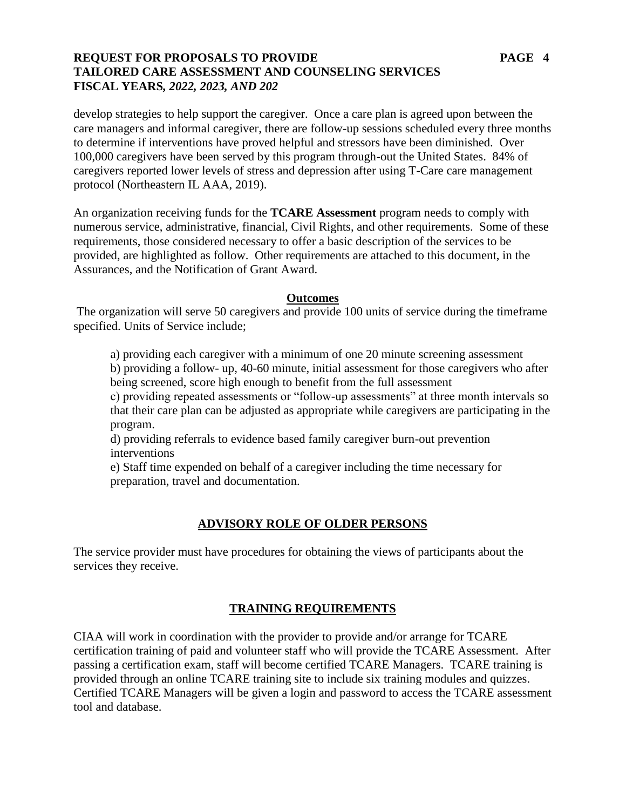## **REQUEST FOR PROPOSALS TO PROVIDE PAGE 4 TAILORED CARE ASSESSMENT AND COUNSELING SERVICES FISCAL YEARS***, 2022, 2023, AND 202*

develop strategies to help support the caregiver. Once a care plan is agreed upon between the care managers and informal caregiver, there are follow-up sessions scheduled every three months to determine if interventions have proved helpful and stressors have been diminished. Over 100,000 caregivers have been served by this program through-out the United States. 84% of caregivers reported lower levels of stress and depression after using T-Care care management protocol (Northeastern IL AAA, 2019).

An organization receiving funds for the **TCARE Assessment** program needs to comply with numerous service, administrative, financial, Civil Rights, and other requirements. Some of these requirements, those considered necessary to offer a basic description of the services to be provided, are highlighted as follow. Other requirements are attached to this document, in the Assurances, and the Notification of Grant Award.

#### **Outcomes**

The organization will serve 50 caregivers and provide 100 units of service during the timeframe specified. Units of Service include;

a) providing each caregiver with a minimum of one 20 minute screening assessment

b) providing a follow- up, 40-60 minute, initial assessment for those caregivers who after being screened, score high enough to benefit from the full assessment

c) providing repeated assessments or "follow-up assessments" at three month intervals so that their care plan can be adjusted as appropriate while caregivers are participating in the program.

d) providing referrals to evidence based family caregiver burn-out prevention interventions

e) Staff time expended on behalf of a caregiver including the time necessary for preparation, travel and documentation.

# **ADVISORY ROLE OF OLDER PERSONS**

The service provider must have procedures for obtaining the views of participants about the services they receive.

#### **TRAINING REQUIREMENTS**

CIAA will work in coordination with the provider to provide and/or arrange for TCARE certification training of paid and volunteer staff who will provide the TCARE Assessment. After passing a certification exam, staff will become certified TCARE Managers. TCARE training is provided through an online TCARE training site to include six training modules and quizzes. Certified TCARE Managers will be given a login and password to access the TCARE assessment tool and database.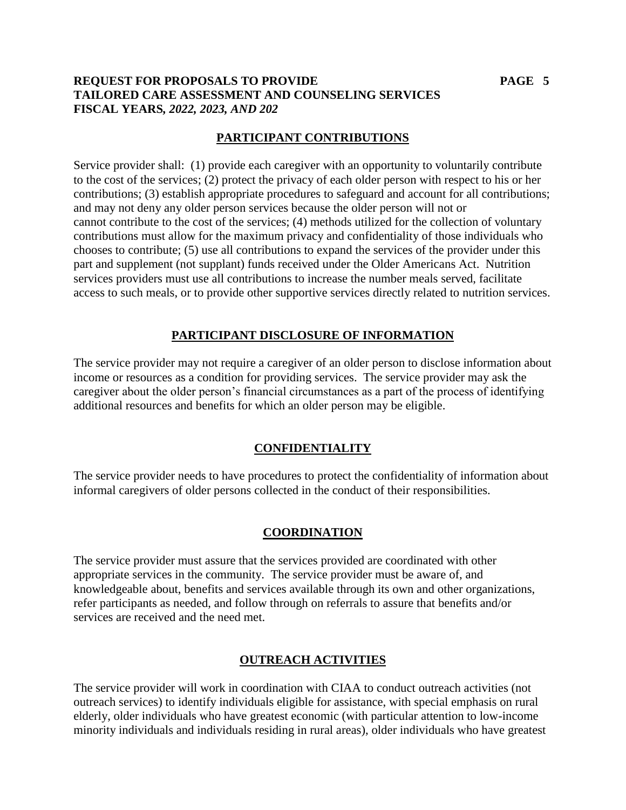# **REQUEST FOR PROPOSALS TO PROVIDE PAGE 5 TAILORED CARE ASSESSMENT AND COUNSELING SERVICES FISCAL YEARS***, 2022, 2023, AND 202*

# **PARTICIPANT CONTRIBUTIONS**

Service provider shall: (1) provide each caregiver with an opportunity to voluntarily contribute to the cost of the services; (2) protect the privacy of each older person with respect to his or her contributions; (3) establish appropriate procedures to safeguard and account for all contributions; and may not deny any older person services because the older person will not or cannot contribute to the cost of the services; (4) methods utilized for the collection of voluntary contributions must allow for the maximum privacy and confidentiality of those individuals who chooses to contribute; (5) use all contributions to expand the services of the provider under this part and supplement (not supplant) funds received under the Older Americans Act. Nutrition services providers must use all contributions to increase the number meals served, facilitate access to such meals, or to provide other supportive services directly related to nutrition services.

# **PARTICIPANT DISCLOSURE OF INFORMATION**

The service provider may not require a caregiver of an older person to disclose information about income or resources as a condition for providing services. The service provider may ask the caregiver about the older person's financial circumstances as a part of the process of identifying additional resources and benefits for which an older person may be eligible.

# **CONFIDENTIALITY**

The service provider needs to have procedures to protect the confidentiality of information about informal caregivers of older persons collected in the conduct of their responsibilities.

# **COORDINATION**

The service provider must assure that the services provided are coordinated with other appropriate services in the community. The service provider must be aware of, and knowledgeable about, benefits and services available through its own and other organizations, refer participants as needed, and follow through on referrals to assure that benefits and/or services are received and the need met.

# **OUTREACH ACTIVITIES**

The service provider will work in coordination with CIAA to conduct outreach activities (not outreach services) to identify individuals eligible for assistance, with special emphasis on rural elderly, older individuals who have greatest economic (with particular attention to low-income minority individuals and individuals residing in rural areas), older individuals who have greatest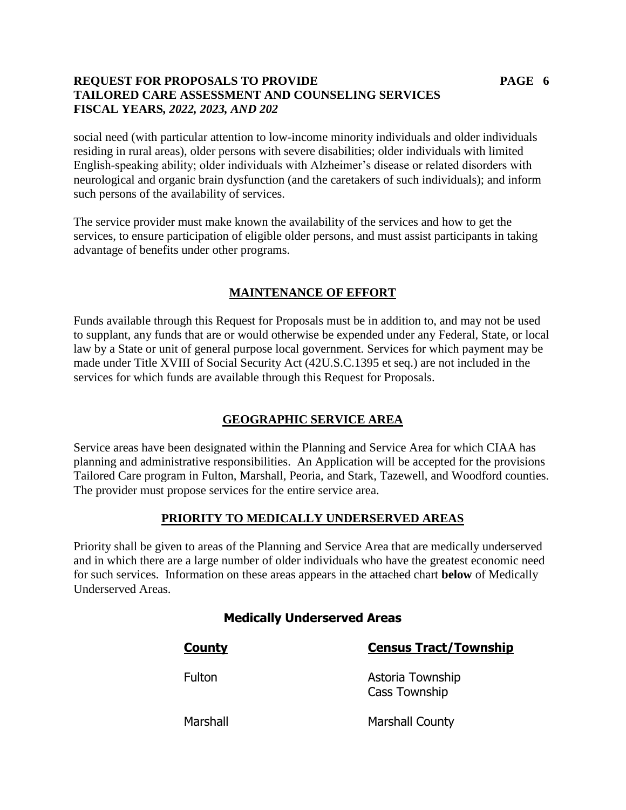# **REQUEST FOR PROPOSALS TO PROVIDE PAGE 6 TAILORED CARE ASSESSMENT AND COUNSELING SERVICES FISCAL YEARS***, 2022, 2023, AND 202*

social need (with particular attention to low-income minority individuals and older individuals residing in rural areas), older persons with severe disabilities; older individuals with limited English-speaking ability; older individuals with Alzheimer's disease or related disorders with neurological and organic brain dysfunction (and the caretakers of such individuals); and inform such persons of the availability of services.

The service provider must make known the availability of the services and how to get the services, to ensure participation of eligible older persons, and must assist participants in taking advantage of benefits under other programs.

# **MAINTENANCE OF EFFORT**

Funds available through this Request for Proposals must be in addition to, and may not be used to supplant, any funds that are or would otherwise be expended under any Federal, State, or local law by a State or unit of general purpose local government. Services for which payment may be made under Title XVIII of Social Security Act (42U.S.C.1395 et seq.) are not included in the services for which funds are available through this Request for Proposals.

#### **GEOGRAPHIC SERVICE AREA**

Service areas have been designated within the Planning and Service Area for which CIAA has planning and administrative responsibilities. An Application will be accepted for the provisions Tailored Care program in Fulton, Marshall, Peoria, and Stark, Tazewell, and Woodford counties. The provider must propose services for the entire service area.

# **PRIORITY TO MEDICALLY UNDERSERVED AREAS**

Priority shall be given to areas of the Planning and Service Area that are medically underserved and in which there are a large number of older individuals who have the greatest economic need for such services. Information on these areas appears in the attached chart **below** of Medically Underserved Areas.

# **Medically Underserved Areas**

**County Census Tract/Township**

Fulton **Astoria Township** Cass Township

Marshall Marshall County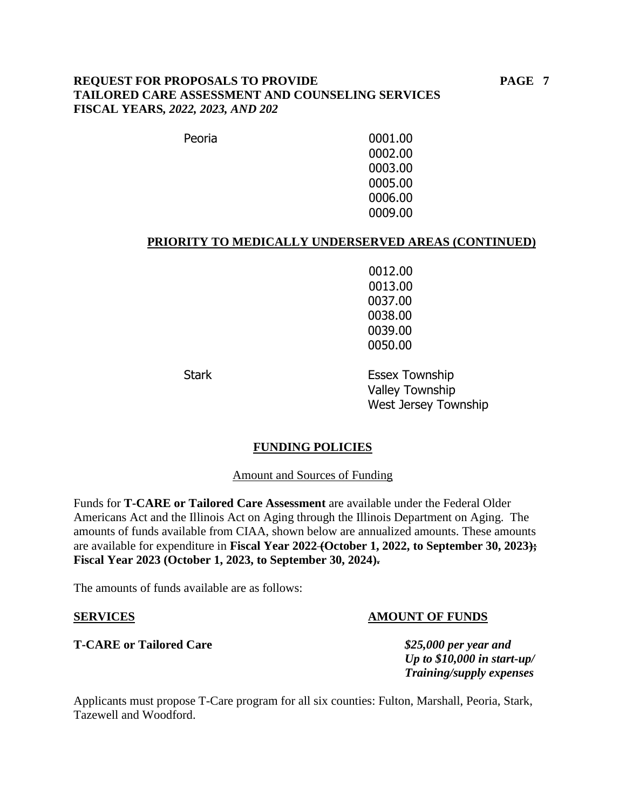### **REQUEST FOR PROPOSALS TO PROVIDE PAGE 7 TAILORED CARE ASSESSMENT AND COUNSELING SERVICES FISCAL YEARS***, 2022, 2023, AND 202*

Peoria 0001.00 0002.00 0003.00 0005.00 0006.00 0009.00

#### **PRIORITY TO MEDICALLY UNDERSERVED AREAS (CONTINUED)**

0012.00 0013.00 0037.00 0038.00 0039.00 0050.00

Stark **Essex Township** Valley Township West Jersey Township

#### **FUNDING POLICIES**

Amount and Sources of Funding

Funds for **T-CARE or Tailored Care Assessment** are available under the Federal Older Americans Act and the Illinois Act on Aging through the Illinois Department on Aging. The amounts of funds available from CIAA, shown below are annualized amounts. These amounts are available for expenditure in **Fiscal Year 2022 (October 1, 2022, to September 30, 2023); Fiscal Year 2023 (October 1, 2023, to September 30, 2024).**

The amounts of funds available are as follows:

#### **T-CARE or Tailored Care** *\$25,000 per year and*

#### **SERVICES AMOUNT OF FUNDS**

*Up to \$10,000 in start-up/ Training/supply expenses*

Applicants must propose T-Care program for all six counties: Fulton, Marshall, Peoria, Stark, Tazewell and Woodford.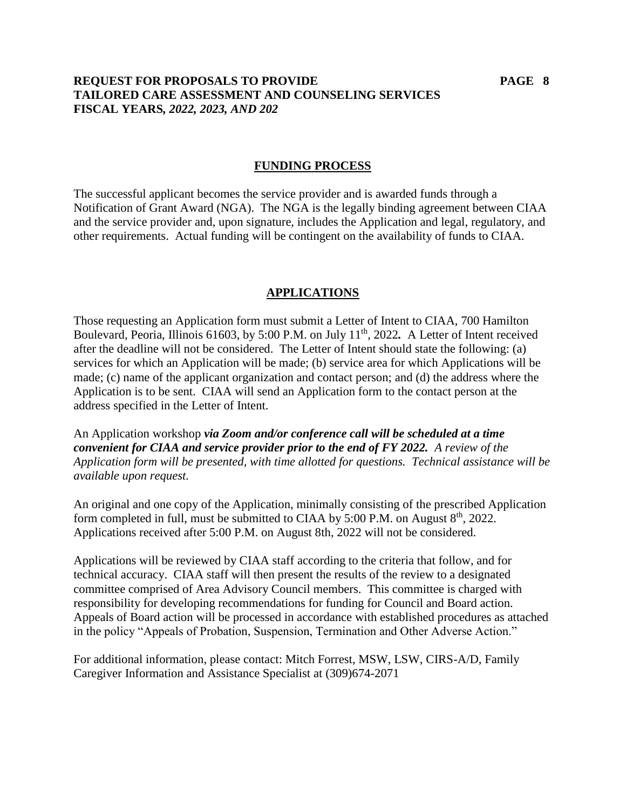## **REQUEST FOR PROPOSALS TO PROVIDE PAGE 8 TAILORED CARE ASSESSMENT AND COUNSELING SERVICES FISCAL YEARS***, 2022, 2023, AND 202*

#### **FUNDING PROCESS**

The successful applicant becomes the service provider and is awarded funds through a Notification of Grant Award (NGA). The NGA is the legally binding agreement between CIAA and the service provider and, upon signature, includes the Application and legal, regulatory, and other requirements. Actual funding will be contingent on the availability of funds to CIAA.

#### **APPLICATIONS**

Those requesting an Application form must submit a Letter of Intent to CIAA, 700 Hamilton Boulevard, Peoria, Illinois 61603, by 5:00 P.M. on July 11th, 2022*.* A Letter of Intent received after the deadline will not be considered. The Letter of Intent should state the following: (a) services for which an Application will be made; (b) service area for which Applications will be made; (c) name of the applicant organization and contact person; and (d) the address where the Application is to be sent. CIAA will send an Application form to the contact person at the address specified in the Letter of Intent.

An Application workshop *via Zoom and/or conference call will be scheduled at a time convenient for CIAA and service provider prior to the end of FY 2022. A review of the Application form will be presented, with time allotted for questions. Technical assistance will be available upon request.* 

An original and one copy of the Application, minimally consisting of the prescribed Application form completed in full, must be submitted to CIAA by 5:00 P.M. on August  $8<sup>th</sup>$ , 2022. Applications received after 5:00 P.M. on August 8th, 2022 will not be considered.

Applications will be reviewed by CIAA staff according to the criteria that follow, and for technical accuracy. CIAA staff will then present the results of the review to a designated committee comprised of Area Advisory Council members. This committee is charged with responsibility for developing recommendations for funding for Council and Board action. Appeals of Board action will be processed in accordance with established procedures as attached in the policy "Appeals of Probation, Suspension, Termination and Other Adverse Action."

For additional information, please contact: Mitch Forrest, MSW, LSW, CIRS-A/D, Family Caregiver Information and Assistance Specialist at (309)674-2071